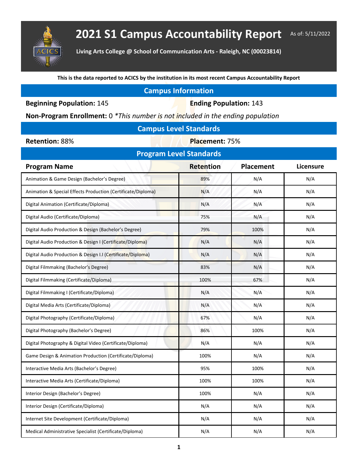

**Living Arts College @ School of Communication Arts - Raleigh, NC (00023814)**

**This is the data reported to ACICS by the institution in its most recent Campus Accountability Report**

| <b>Campus Information</b> |  |  |
|---------------------------|--|--|
|                           |  |  |

**Beginning Population: 145 <b>Ending Population: 143** 

**Non-Program Enrollment:** 0 *\*This number is not included in the ending population*

| <b>Campus Level Standards</b> |  |  |
|-------------------------------|--|--|
|                               |  |  |

**Retention: 88% Placement: 75%** 

| <b>Program Level Standards</b>                               |                  |                  |                  |  |  |  |  |
|--------------------------------------------------------------|------------------|------------------|------------------|--|--|--|--|
| <b>Program Name</b>                                          | <b>Retention</b> | <b>Placement</b> | <b>Licensure</b> |  |  |  |  |
| Animation & Game Design (Bachelor's Degree)                  | 89%              | N/A              | N/A              |  |  |  |  |
| Animation & Special Effects Production (Certificate/Diploma) | N/A              | N/A              | N/A              |  |  |  |  |
| Digital Animation (Certificate/Diploma)                      | N/A              | N/A              | N/A              |  |  |  |  |
| Digital Audio (Certificate/Diploma)                          | 75%              | N/A              | N/A              |  |  |  |  |
| Digital Audio Production & Design (Bachelor's Degree)        | 79%              | 100%             | N/A              |  |  |  |  |
| Digital Audio Production & Design I (Certificate/Diploma)    | N/A              | N/A              | N/A              |  |  |  |  |
| Digital Audio Production & Design I.I (Certificate/Diploma)  | N/A              | N/A              | N/A              |  |  |  |  |
| Digital Filmmaking (Bachelor's Degree)                       | 83%              | N/A              | N/A              |  |  |  |  |
| Digital Filmmaking (Certificate/Diploma)                     | 100%             | 67%              | N/A              |  |  |  |  |
| Digital Filmmaking I (Certificate/Diploma)                   | N/A              | N/A              | N/A              |  |  |  |  |
| Digital Media Arts (Certificate/Diploma)                     | N/A              | N/A              | N/A              |  |  |  |  |
| Digital Photography (Certificate/Diploma)                    | 67%              | N/A              | N/A              |  |  |  |  |
| Digital Photography (Bachelor's Degree)                      | 86%              | 100%             | N/A              |  |  |  |  |
| Digital Photography & Digital Video (Certificate/Diploma)    | N/A              | N/A              | N/A              |  |  |  |  |
| Game Design & Animation Production (Certificate/Diploma)     | 100%             | N/A              | N/A              |  |  |  |  |
| Interactive Media Arts (Bachelor's Degree)                   | 95%              | 100%             | N/A              |  |  |  |  |
| Interactive Media Arts (Certificate/Diploma)                 | 100%             | 100%             | N/A              |  |  |  |  |
| Interior Design (Bachelor's Degree)                          | 100%             | N/A              | N/A              |  |  |  |  |
| Interior Design (Certificate/Diploma)                        | N/A              | N/A              | N/A              |  |  |  |  |
| Internet Site Development (Certificate/Diploma)              | N/A              | N/A              | N/A              |  |  |  |  |
| Medical Administrative Specialist (Certificate/Diploma)      | N/A              | N/A              | N/A              |  |  |  |  |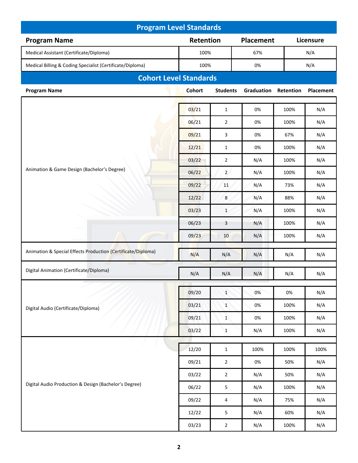| <b>Program Level Standards</b>                               |               |                 |                  |           |                  |  |
|--------------------------------------------------------------|---------------|-----------------|------------------|-----------|------------------|--|
| <b>Program Name</b>                                          | Retention     |                 | <b>Placement</b> |           | Licensure        |  |
| Medical Assistant (Certificate/Diploma)                      | 100%          |                 | 67%              |           | N/A              |  |
| Medical Billing & Coding Specialist (Certificate/Diploma)    | 100%          |                 | 0%               |           | N/A              |  |
| <b>Cohort Level Standards</b>                                |               |                 |                  |           |                  |  |
| <b>Program Name</b>                                          | <b>Cohort</b> | <b>Students</b> | Graduation       | Retention | <b>Placement</b> |  |
|                                                              | 03/21         | $\mathbf{1}$    | 0%               | 100%      | N/A              |  |
|                                                              | 06/21         | $\overline{2}$  | 0%               | 100%      | N/A              |  |
|                                                              | 09/21         | 3               | 0%               | 67%       | N/A              |  |
|                                                              | 12/21         | $\mathbf{1}$    | 0%               | 100%      | N/A              |  |
|                                                              | 03/22         | $\overline{2}$  | N/A              | 100%      | N/A              |  |
| Animation & Game Design (Bachelor's Degree)                  | 06/22         | $\overline{2}$  | N/A              | 100%      | N/A              |  |
|                                                              | 09/22         | 11              | N/A              | 73%       | N/A              |  |
|                                                              | 12/22         | 8               | N/A              | 88%       | N/A              |  |
|                                                              | 03/23         | $\mathbf{1}$    | N/A              | 100%      | N/A              |  |
|                                                              | 06/23         | 3               | N/A              | 100%      | N/A              |  |
|                                                              | 09/23         | 10              | N/A              | 100%      | N/A              |  |
| Animation & Special Effects Production (Certificate/Diploma) |               |                 |                  |           |                  |  |
|                                                              | N/A           | N/A             | N/A              | N/A       | N/A              |  |
| Digital Animation (Certificate/Diploma)                      | N/A           | N/A             | N/A              | N/A       | N/A              |  |
|                                                              | 09/20         | $\mathbf{1}$    | 0%               | 0%        | N/A              |  |
|                                                              | 03/21         | $\mathbf 1$     | 0%               | 100%      | N/A              |  |
| Digital Audio (Certificate/Diploma)                          | 09/21         | $\mathbf{1}$    | 0%               | 100%      | N/A              |  |
|                                                              | 03/22         | $1\,$           | N/A              | 100%      | N/A              |  |
|                                                              |               |                 |                  |           |                  |  |
|                                                              | 12/20         | $\mathbf{1}$    | 100%             | 100%      | 100%             |  |
|                                                              | 09/21         | $\overline{2}$  | 0%               | 50%       | N/A              |  |
|                                                              | 03/22         | $\overline{2}$  | N/A              | 50%       | N/A              |  |
| Digital Audio Production & Design (Bachelor's Degree)        | 06/22         | 5               | N/A              | 100%      | N/A              |  |
|                                                              | 09/22         | 4               | N/A              | 75%       | N/A              |  |
|                                                              | 12/22         | 5               | N/A              | 60%       | N/A              |  |
|                                                              | 03/23         | $\overline{2}$  | N/A              | 100%      | N/A              |  |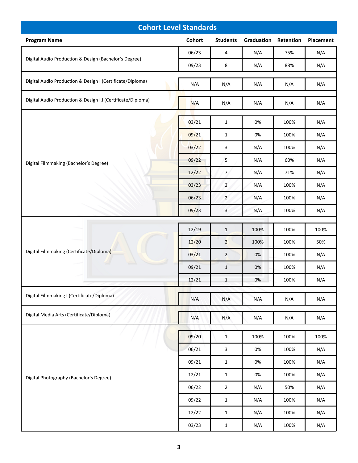| <b>Cohort Level Standards</b>                               |        |                 |            |           |           |  |
|-------------------------------------------------------------|--------|-----------------|------------|-----------|-----------|--|
| <b>Program Name</b>                                         | Cohort | <b>Students</b> | Graduation | Retention | Placement |  |
|                                                             | 06/23  | 4               | N/A        | 75%       | N/A       |  |
| Digital Audio Production & Design (Bachelor's Degree)       | 09/23  | 8               | N/A        | 88%       | N/A       |  |
| Digital Audio Production & Design I (Certificate/Diploma)   | N/A    | N/A             | N/A        | N/A       | N/A       |  |
| Digital Audio Production & Design I.I (Certificate/Diploma) | N/A    | N/A             | N/A        | N/A       | N/A       |  |
|                                                             | 03/21  | $\mathbf{1}$    | 0%         | 100%      | N/A       |  |
|                                                             | 09/21  | $\mathbf{1}$    | 0%         | 100%      | N/A       |  |
|                                                             | 03/22  | 3               | N/A        | 100%      | N/A       |  |
| Digital Filmmaking (Bachelor's Degree)                      | 09/22  | 5               | N/A        | 60%       | N/A       |  |
|                                                             | 12/22  | $\overline{7}$  | N/A        | 71%       | N/A       |  |
|                                                             | 03/23  | $\overline{2}$  | N/A        | 100%      | N/A       |  |
|                                                             | 06/23  | $\overline{2}$  | N/A        | 100%      | N/A       |  |
|                                                             | 09/23  | 3               | N/A        | 100%      | N/A       |  |
|                                                             | 12/19  | $\mathbf{1}$    | 100%       | 100%      | 100%      |  |
|                                                             | 12/20  | $\overline{2}$  | 100%       | 100%      | 50%       |  |
| Digital Filmmaking (Certificate/Diploma)                    | 03/21  | $\overline{2}$  | 0%         | 100%      | N/A       |  |
|                                                             | 09/21  | $\mathbf{1}$    | 0%         | 100%      | N/A       |  |
|                                                             | 12/21  | $\mathbf{1}$    | 0%         | 100%      | N/A       |  |
| Digital Filmmaking I (Certificate/Diploma)                  | N/A    | N/A             | N/A        | N/A       | N/A       |  |
| Digital Media Arts (Certificate/Diploma)                    | N/A    | N/A             | N/A        | N/A       | N/A       |  |
|                                                             | 09/20  | $\mathbf{1}$    | 100%       | 100%      | 100%      |  |
| Digital Photography (Bachelor's Degree)                     | 06/21  | 3               | 0%         | 100%      | N/A       |  |
|                                                             | 09/21  | $\mathbf{1}$    | 0%         | 100%      | N/A       |  |
|                                                             | 12/21  | $\mathbf 1$     | 0%         | 100%      | N/A       |  |
|                                                             | 06/22  | $\mathbf 2$     | N/A        | 50%       | N/A       |  |
|                                                             | 09/22  | $\mathbf 1$     | N/A        | 100%      | N/A       |  |
|                                                             | 12/22  | $\mathbf{1}$    | N/A        | 100%      | N/A       |  |
|                                                             | 03/23  | $\mathbf 1$     | N/A        | 100%      | N/A       |  |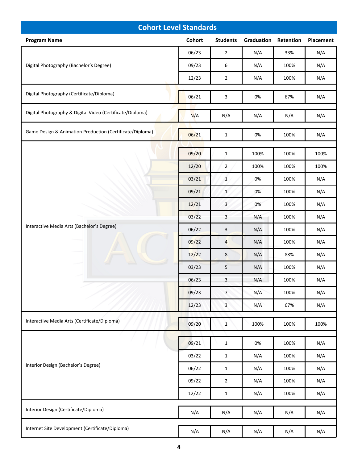| <b>Cohort Level Standards</b>                             |        |                 |            |           |           |  |
|-----------------------------------------------------------|--------|-----------------|------------|-----------|-----------|--|
| <b>Program Name</b>                                       | Cohort | <b>Students</b> | Graduation | Retention | Placement |  |
|                                                           | 06/23  | $\overline{2}$  | N/A        | 33%       | N/A       |  |
| Digital Photography (Bachelor's Degree)                   | 09/23  | 6               | N/A        | 100%      | N/A       |  |
|                                                           | 12/23  | $\mathbf 2$     | N/A        | 100%      | N/A       |  |
| Digital Photography (Certificate/Diploma)                 | 06/21  | 3               | 0%         | 67%       | N/A       |  |
| Digital Photography & Digital Video (Certificate/Diploma) | N/A    | N/A             | N/A        | N/A       | N/A       |  |
| Game Design & Animation Production (Certificate/Diploma)  | 06/21  | $\mathbf{1}$    | 0%         | 100%      | N/A       |  |
|                                                           | 09/20  | $\mathbf{1}$    | 100%       | 100%      | 100%      |  |
|                                                           | 12/20  | $\overline{2}$  | 100%       | 100%      | 100%      |  |
|                                                           | 03/21  | $\mathbf{1}$    | 0%         | 100%      | N/A       |  |
|                                                           | 09/21  | $\mathbf{1}$    | 0%         | 100%      | N/A       |  |
|                                                           | 12/21  | 3               | 0%         | 100%      | N/A       |  |
|                                                           | 03/22  | 3               | N/A        | 100%      | N/A       |  |
| Interactive Media Arts (Bachelor's Degree)                | 06/22  | $\mathbf{3}$    | N/A        | 100%      | N/A       |  |
|                                                           | 09/22  | $\overline{4}$  | N/A        | 100%      | N/A       |  |
|                                                           | 12/22  | 8               | N/A        | 88%       | N/A       |  |
|                                                           | 03/23  | 5               | N/A        | 100%      | N/A       |  |
|                                                           | 06/23  | 3               | N/A        | 100%      | N/A       |  |
|                                                           | 09/23  | $\overline{7}$  | N/A        | 100%      | N/A       |  |
|                                                           | 12/23  | $\mathbf{3}$    | N/A        | 67%       | N/A       |  |
| Interactive Media Arts (Certificate/Diploma)              | 09/20  | $\mathbf{1}$    | 100%       | 100%      | 100%      |  |
|                                                           | 09/21  | $\mathbf{1}$    | 0%         | 100%      | N/A       |  |
|                                                           | 03/22  | $\mathbf{1}$    | N/A        | 100%      | N/A       |  |
| Interior Design (Bachelor's Degree)                       | 06/22  | $\mathbf{1}$    | N/A        | 100%      | N/A       |  |
|                                                           | 09/22  | $\overline{2}$  | N/A        | 100%      | N/A       |  |
|                                                           | 12/22  | $\mathbf{1}$    | N/A        | 100%      | N/A       |  |
| Interior Design (Certificate/Diploma)                     | N/A    | N/A             | N/A        | N/A       | N/A       |  |
| Internet Site Development (Certificate/Diploma)           | N/A    | N/A             | N/A        | N/A       | N/A       |  |